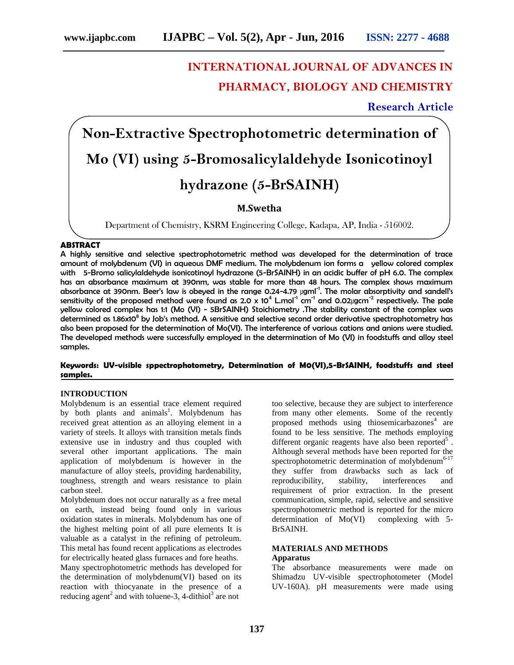# **INTERNATIONAL JOURNAL OF ADVANCES IN PHARMACY, BIOLOGY AND CHEMISTRY**

**Research Article**

# **Non-Extractive Spectrophotometric determination of Mo (VI) using 5-Bromosalicylaldehyde Isonicotinoyl hydrazone (5-BrSAINH)**

# **M.Swetha**

Department of Chemistry, KSRM Engineering College, Kadapa, AP, India - 516002.

# **ABSTRACT**

A highly sensitive and selective spectrophotometric method was developed for the determination of trace amount of molybdenum (VI) in aqueous DMF medium. The molybdenum ion forms a yellow colored complex with 5-Bromo salicylaldehyde isonicotinoyl hydrazone (5-BrSAINH) in an acidic buffer of pH 6.0. The complex has an absorbance maximum at 390nm, was stable for more than 48 hours. The complex shows maximum absorbance at 390nm. Beer's law is obeyed in the range 0.24-4.79 µgml<sup>-1</sup>. The molar absorptivity and sandell's sensitivity of the proposed method were found as 2.0 x  $10^4$  L.mol<sup>-1</sup> cm<sup>-1</sup> and 0.02µgcm<sup>-2</sup> respectively. The pale yellow colored complex has 1:1 (Mo (VI) - 5BrSAINH) Stoichiometry .The stability constant of the complex was determined as 1.86x10 <sup>8</sup> by Job's method. A sensitive and selective second order derivative spectrophotometry has also been proposed for the determination of Mo(VI). The interference of various cations and anions were studied. The developed methods were successfully employed in the determination of Mo (VI) in foodstuffs and alloy steel samples.

### **Keywords: UV-visible sppectrophotometry, Determination of M0(VI),5-BrSAINH, foodstuffs and steel samples.**

#### **INTRODUCTION**

Molybdenum is an essential trace element required by both plants and animals<sup>1</sup>. Molybdenum has received great attention as an alloying element in a variety of steels. It alloys with transition metals finds extensive use in industry and thus coupled with several other important applications. The main application of molybdenum is however in the manufacture of alloy steels, providing hardenability, toughness, strength and wears resistance to plain carbon steel.

Molybdenum does not occur naturally as a free metal on earth, instead being found only in various oxidation states in minerals. Molybdenum has one of the highest melting point of all pure elements It is valuable as a catalyst in the refining of petroleum. This metal has found recent applications as electrodes for electrically heated glass furnaces and fore heaths.

Many spectrophotometric methods has developed for the determination of molybdenum(VI) based on its reaction with thiocyanate in the presence of a reducing agent<sup>2</sup> and with toluene-3, 4-dithiol<sup>3</sup> are not

too selective, because they are subject to interference from many other elements. Some of the recently proposed methods using thiosemicarbazones <sup>4</sup> are found to be less sensitive. The methods employing different organic reagents have also been reported<sup>5</sup>. Although several methods have been reported for the spectrophotometric determination of molybdenum<sup>6-17</sup> they suffer from drawbacks such as lack of reproducibility, stability, interferences and requirement of prior extraction. In the present communication, simple, rapid, selective and sensitive spectrophotometric method is reported for the micro determination of Mo(VI) complexing with 5- BrSAINH.

# **MATERIALS AND METHODS Apparatus**

The absorbance measurements were made on Shimadzu UV-visible spectrophotometer (Model UV-160A). pH measurements were made using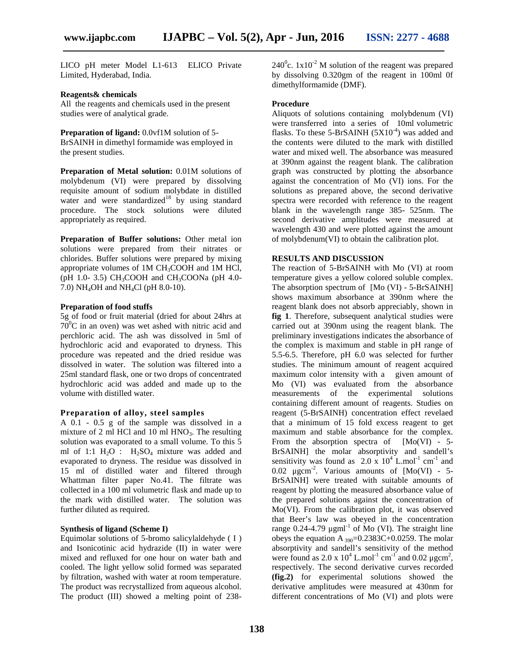LICO pH meter Model L1-613 ELICO Private Limited, Hyderabad, India.

#### **Reagents& chemicals**

All the reagents and chemicals used in the present studies were of analytical grade.

**Preparation of ligand:** 0.0vf1M solution of 5- BrSAINH in dimethyl formamide was employed in the present studies.

**Preparation of Metal solution:** 0.01M solutions of molybdenum (VI) were prepared by dissolving requisite amount of sodium molybdate in distilled water and were standardized<sup>18</sup> by using standard procedure. The stock solutions were diluted appropriately as required.

**Preparation of Buffer solutions:** Other metal ion solutions were prepared from their nitrates or chlorides. Buffer solutions were prepared by mixing appropriate volumes of 1M CH3COOH and 1M HCl, (pH 1.0- 3.5) CH<sub>3</sub>COOH and CH<sub>3</sub>COONa (pH 4.0-7.0) NH4OH and NH4Cl (pH 8.0-10).

#### **Preparation of food stuffs**

5g of food or fruit material (dried for about 24hrs at  $70^{\circ}$ C in an oven) was wet ashed with nitric acid and perchloric acid. The ash was dissolved in 5ml of hydrochloric acid and evaporated to dryness. This procedure was repeated and the dried residue was dissolved in water. The solution was filtered into a 25ml standard flask, one or two drops of concentrated hydrochloric acid was added and made up to the volume with distilled water.

#### **Preparation of alloy, steel samples**

A 0.1 - 0.5 g of the sample was dissolved in a mixture of 2 ml HCl and 10 ml  $HNO<sub>3</sub>$ . The resulting solution was evaporated to a small volume. To this 5 ml of 1:1  $H_2O$  :  $H_2SO_4$  mixture was added and evaporated to dryness. The residue was dissolved in 15 ml of distilled water and filtered through Whattman filter paper No.41. The filtrate was collected in a 100 ml volumetric flask and made up to the mark with distilled water. The solution was further diluted as required.

#### **Synthesis of ligand (Scheme I)**

Equimolar solutions of 5-bromo salicylaldehyde ( I ) and Isonicotinic acid hydrazide (II) in water were mixed and refluxed for one hour on water bath and cooled. The light yellow solid formed was separated by filtration, washed with water at room temperature. The product was recrystallized from aqueous alcohol. The product (III) showed a melting point of 238 $240^{\circ}$ c.  $1x10^{-2}$  M solution of the reagent was prepared by dissolving 0.320gm of the reagent in 100ml 0f dimethylformamide (DMF).

#### **Procedure**

Aliquots of solutions containing molybdenum (VI) were transferred into a series of 10ml volumetric flasks. To these 5-BrSAINH  $(5X10^{-4})$  was added and the contents were diluted to the mark with distilled water and mixed well. The absorbance was measured at 390nm against the reagent blank. The calibration graph was constructed by plotting the absorbance against the concentration of Mo (VI) ions. For the solutions as prepared above, the second derivative spectra were recorded with reference to the reagent blank in the wavelength range 385- 525nm. The second derivative amplitudes were measured at wavelength 430 and were plotted against the amount of molybdenum(VI) to obtain the calibration plot.

# **RESULTS AND DISCUSSION**

The reaction of 5-BrSAINH with Mo (VI) at room temperature gives a yellow colored soluble complex. The absorption spectrum of [Mo (VI) - 5-BrSAINH] shows maximum absorbance at 390nm where the reagent blank does not absorb appreciably, shown in **fig 1**. Therefore, subsequent analytical studies were carried out at 390nm using the reagent blank. The preliminary investigations indicates the absorbance of the complex is maximum and stable in pH range of 5.5-6.5. Therefore, pH 6.0 was selected for further studies. The minimum amount of reagent acquired maximum color intensity with a given amount of Mo (VI) was evaluated from the absorbance measurements of the experimental solutions containing different amount of reagents. Studies on reagent (5-BrSAINH) concentration effect revelaed that a minimum of 15 fold excess reagent to get maximum and stable absorbance for the complex. From the absorption spectra of  $[Mo(VI) - 5-$ BrSAINH] the molar absorptivity and sandell's sensitivity was found as  $2.0 \times 10^4$  L.mol<sup>-1</sup> cm<sup>-1</sup> and 0.02  $\mu$ gcm<sup>-2</sup>. Various amounts of [Mo(VI) - 5-BrSAINH] were treated with suitable amounts of reagent by plotting the measured absorbance value of the prepared solutions against the concentration of Mo(VI). From the calibration plot, it was observed that Beer's law was obeyed in the concentration range  $0.24$ -4.79  $\mu$ gml<sup>-1</sup> of Mo (VI). The straight line obeys the equation A  $_{390}$ =0.2383C+0.0259. The molar absorptivity and sandell's sensitivity of the method were found as  $2.0 \times 10^4$  L.mol<sup>-1</sup> cm<sup>-1</sup> and  $0.02 \mu \text{gcm}^2$ , respectively. The second derivative curves recorded **(fig.2)** for experimental solutions showed the derivative amplitudes were measured at 430nm for different concentrations of Mo (VI) and plots were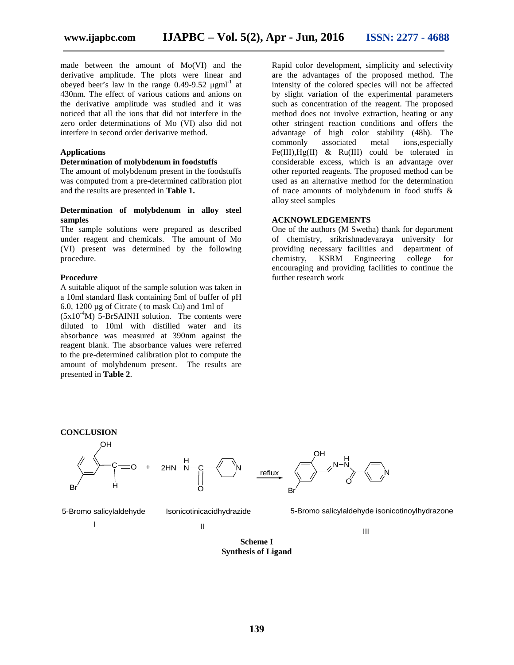made between the amount of Mo(VI) and the derivative amplitude. The plots were linear and obeyed beer's law in the range  $0.49$ -9.52  $\mu$ gml<sup>-1</sup> at 430nm. The effect of various cations and anions on the derivative amplitude was studied and it was noticed that all the ions that did not interfere in the zero order determinations of Mo (VI) also did not interfere in second order derivative method.

#### **Applications**

### **Determination of molybdenum in foodstuffs**

The amount of molybdenum present in the foodstuffs was computed from a pre-determined calibration plot and the results are presented in **Table 1.**

### **Determination of molybdenum in alloy steel samples**

The sample solutions were prepared as described under reagent and chemicals. The amount of Mo (VI) present was determined by the following providing procedure.<br>
chemistry, procedure.

#### **Procedure**

A suitable aliquot of the sample solution was taken in a 10ml standard flask containing 5ml of buffer of pH 6.0, 1200 µg of Citrate ( to mask Cu) and 1ml of

 $(5x10^{-4}M)$  5-BrSAINH solution. The contents were diluted to 10ml with distilled water and its absorbance was measured at 390nm against the reagent blank. The absorbance values were referred to the pre-determined calibration plot to compute the amount of molybdenum present. The results are presented in **Table 2**.

Rapid color development, simplicity and selectivity are the advantages of the proposed method. The intensity of the colored species will not be affected by slight variation of the experimental parameters such as concentration of the reagent. The proposed method does not involve extraction, heating or any other stringent reaction conditions and offers the advantage of high color stability (48h). The commonly associated metal ions,especially Fe(III), $Hg(II)$  & Ru(III) could be tolerated in considerable excess, which is an advantage over other reported reagents. The proposed method can be used as an alternative method for the determination of trace amounts of molybdenum in food stuffs & alloy steel samples

#### **ACKNOWLEDGEMENTS**

One of the authors (M Swetha) thank for department of chemistry, srikrishnadevaraya university for providing necessary facilities and department of chemistry, KSRM Engineering college for Engineering college for encouraging and providing facilities to continue the further research work

III

#### **CONCLUSION**



II

I

**Scheme I Synthesis of Ligand**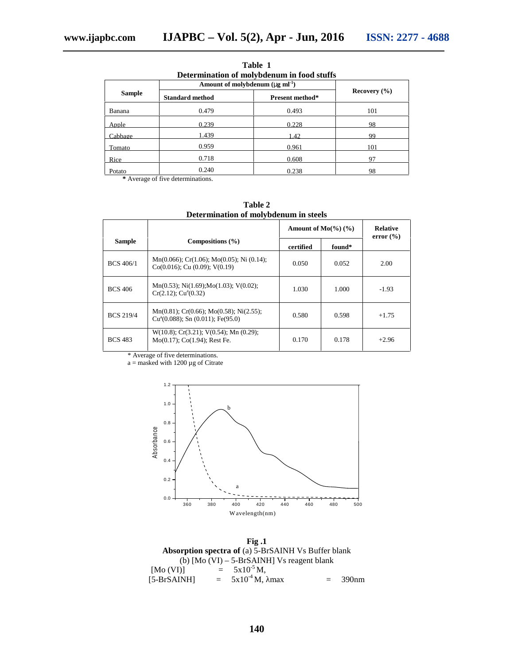| Determination of molybdenum in food stuffs |                                                   |                 |                  |  |  |
|--------------------------------------------|---------------------------------------------------|-----------------|------------------|--|--|
|                                            | Amount of molybdenum $(\sim g \, \text{ml}^{-1})$ |                 |                  |  |  |
| <b>Sample</b>                              | <b>Standard method</b>                            | Present method* | Recovery $(\% )$ |  |  |
| Banana                                     | 0.479                                             | 0.493           | 101              |  |  |
| Apple                                      | 0.239                                             | 0.228           | 98               |  |  |
| Cabbage                                    | 1.439                                             | 1.42            | 99               |  |  |
| Tomato                                     | 0.959                                             | 0.961           | 101              |  |  |
| Rice                                       | 0.718                                             | 0.608           | 97               |  |  |
| Potato                                     | 0.240                                             | 0.238           | 98               |  |  |

**Table 1 Determination of molybdenum in food stuffs**

**\*** Average of five determinations.

| Determination of molybdenum in steels |                                                                                          |                                 |        |                                  |  |  |
|---------------------------------------|------------------------------------------------------------------------------------------|---------------------------------|--------|----------------------------------|--|--|
|                                       |                                                                                          | Amount of $Mo(\frac{9}{6})$ (%) |        | <b>Relative</b><br>error $(\% )$ |  |  |
| <b>Sample</b>                         | Compositions $(\% )$                                                                     | certified                       | found* |                                  |  |  |
| BCS 406/1                             | $Mn(0.066)$ ; Cr(1.06); Mo(0.05); Ni (0.14);<br>$Co(0.016)$ ; Cu $(0.09)$ ; V $(0.19)$   | 0.050                           | 0.052  | 2.00                             |  |  |
| <b>BCS 406</b>                        | $Mn(0.53)$ ; Ni(1.69); Mo(1.03); V(0.02);<br>$Cr(2.12)$ : $Cua(0.32)$                    | 1.030                           | 1.000  | $-1.93$                          |  |  |
| <b>BCS 219/4</b>                      | $Mn(0.81)$ ; Cr(0.66); Mo(0.58); Ni(2.55);<br>$Cu^2(0.088)$ ; Sn $(0.011)$ ; Fe $(95.0)$ | 0.580                           | 0.598  | $+1.75$                          |  |  |
| <b>BCS 483</b>                        | $W(10.8)$ ; Cr(3.21); V(0.54); Mn (0.29);<br>$Mo(0.17)$ ; Co $(1.94)$ ; Rest Fe.         | 0.170                           | 0.178  | $+2.96$                          |  |  |

**Table 2 Determination of molybdenum in steels**

\* Average of five determinations.

 $a =$  masked with 1200  $\mu$ g of Citrate



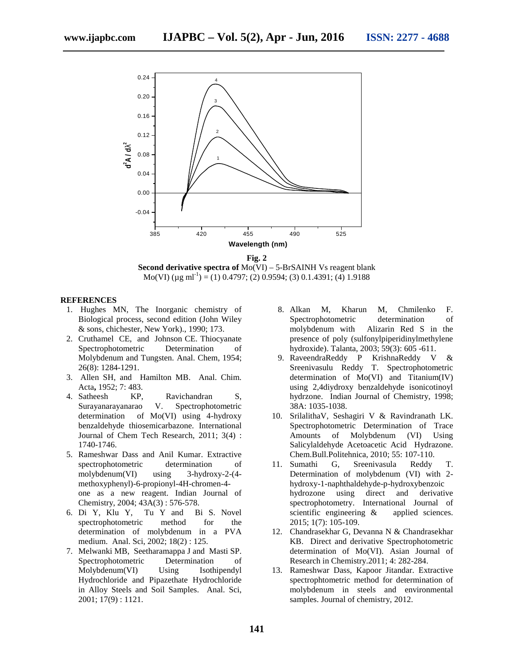

**Fig. 2**

**Second derivative spectra of** Mo(VI) – 5-BrSAINH Vs reagent blank Mo(VI) ( $\mu$ g ml<sup>-1</sup>) = (1) 0.4797; (2) 0.9594; (3) 0.1.4391; (4) 1.9188

#### **REFERENCES**

- 1. Hughes MN, The Inorganic chemistry of Biological process, second edition (John Wiley & sons, chichester, New York)., 1990; 173.
- 2. Cruthamel CE, and Johnson CE. Thiocyanate Spectrophotometric Determination of Molybdenum and Tungsten. Anal. Chem, 1954; 26(8): 1284-1291.
- 3. Allen SH, and Hamilton MB. Anal. Chim. Acta**,** 1952; 7: 483.
- 4. Satheesh KP, Ravichandran S, Surayanarayanarao V. Spectrophotometric Surayanarayanarao V. Spectrophotometric determination of Mo(VI) using 4-hydroxy benzaldehyde thiosemicarbazone. International Journal of Chem Tech Research, 2011; 3(4) : 1740-1746.
- 5. Rameshwar Dass and Anil Kumar. Extractive spectrophotometric determination of molybdenum(VI) using 3-hydroxy-2-(4 methoxyphenyl)-6-propionyl-4H-chromen-4 one as a new reagent. Indian Journal of Chemistry, 2004; 43A(3) : 576-578.
- 6. Di Y, Klu Y, Tu Y and Bi S. Novel spectrophotometric method for the determination of molybdenum in a PVA medium. Anal. Sci, 2002; 18(2) : 125.
- 7. Melwanki MB, Seetharamappa J and Masti SP. Spectrophotometric Determination of Molybdenum(VI) Using Isothipendyl Hydrochloride and Pipazethate Hydrochloride in Alloy Steels and Soil Samples. Anal. Sci, 2001; 17(9) : 1121.
- 8. Alkan M, Kharun M, Chmilenko F. Spectrophotometric determination of molybdenum with Alizarin Red S in the presence of poly (sulfonylpiperidinylmethylene hydroxide). Talanta, 2003; 59(3): 605 -611.
- 9. RaveendraReddy P KrishnaReddy V & Sreenivasulu Reddy T. Spectrophotometric determination of Mo(VI) and Titanium(IV) using 2,4diydroxy benzaldehyde isonicotinoyl hydrzone. Indian Journal of Chemistry, 1998; 38A: 1035-1038.
- 10. SrilalithaV, Seshagiri V & Ravindranath LK. Spectrophotometric Determination of Trace Amounts of Molybdenum (VI) Using Salicylaldehyde Acetoacetic Acid Hydrazone. Chem.Bull.Politehnica, 2010; 55: 107-110.
- 11. Sumathi G, Sreenivasula Reddy T. Determination of molybdenum (VI) with 2 hydroxy-1-naphthaldehyde-p-hydroxybenzoic hydrozone using direct and derivative spectrophotometry. International Journal of scientific engineering  $\&$  applied sciences. 2015; 1(7): 105-109.
- 12. Chandrasekhar G, Devanna N & Chandrasekhar KB. Direct and derivative Spectrophotometric determination of Mo(VI). Asian Journal of Research in Chemistry.2011; 4: 282-284.
- 13. Rameshwar Dass, Kapoor Jitandar. Extractive spectrophtometric method for determination of molybdenum in steels and environmental samples. Journal of chemistry, 2012.